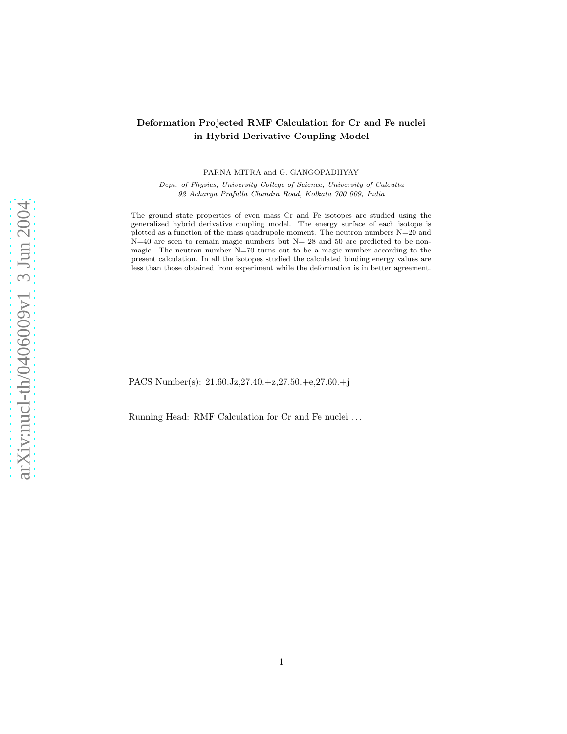# Deformation Projected RMF Calculation for Cr and Fe nuclei in Hybrid Derivative Coupling Model

PARNA MITRA and G. GANGOPADHYAY

Dept. of Physics, University College of Science, University of Calcutta 92 Acharya Prafulla Chandra Road, Kolkata 700 009, India

The ground state properties of even mass Cr and Fe isotopes are studied using the generalized hybrid derivative coupling model. The energy surface of each isotope is plotted as a function of the mass quadrupole moment. The neutron numbers  $N=20$  and  $N=40$  are seen to remain magic numbers but  $N=28$  and 50 are predicted to be nonmagic. The neutron number  $N=70$  turns out to be a magic number according to the present calculation. In all the isotopes studied the calculated binding energy values are less than those obtained from experiment while the deformation is in better agreement.

PACS Number(s): 21.60.Jz,27.40.+z,27.50.+e,27.60.+j

Running Head: RMF Calculation for Cr and Fe nuclei . . .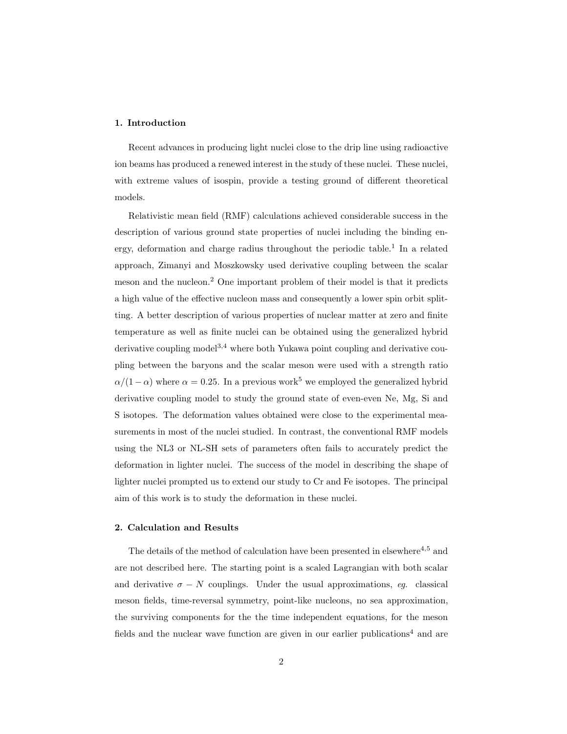## 1. Introduction

Recent advances in producing light nuclei close to the drip line using radioactive ion beams has produced a renewed interest in the study of these nuclei. These nuclei, with extreme values of isospin, provide a testing ground of different theoretical models.

Relativistic mean field (RMF) calculations achieved considerable success in the description of various ground state properties of nuclei including the binding energy, deformation and charge radius throughout the periodic table.<sup>1</sup> In a related approach, Zimanyi and Moszkowsky used derivative coupling between the scalar meson and the nucleon.<sup>2</sup> One important problem of their model is that it predicts a high value of the effective nucleon mass and consequently a lower spin orbit splitting. A better description of various properties of nuclear matter at zero and finite temperature as well as finite nuclei can be obtained using the generalized hybrid derivative coupling model<sup>3,4</sup> where both Yukawa point coupling and derivative coupling between the baryons and the scalar meson were used with a strength ratio  $\alpha/(1-\alpha)$  where  $\alpha = 0.25$ . In a previous work<sup>5</sup> we employed the generalized hybrid derivative coupling model to study the ground state of even-even Ne, Mg, Si and S isotopes. The deformation values obtained were close to the experimental measurements in most of the nuclei studied. In contrast, the conventional RMF models using the NL3 or NL-SH sets of parameters often fails to accurately predict the deformation in lighter nuclei. The success of the model in describing the shape of lighter nuclei prompted us to extend our study to Cr and Fe isotopes. The principal aim of this work is to study the deformation in these nuclei.

#### 2. Calculation and Results

The details of the method of calculation have been presented in elsewhere<sup>4,5</sup> and are not described here. The starting point is a scaled Lagrangian with both scalar and derivative  $\sigma - N$  couplings. Under the usual approximations, eg. classical meson fields, time-reversal symmetry, point-like nucleons, no sea approximation, the surviving components for the the time independent equations, for the meson fields and the nuclear wave function are given in our earlier publications<sup>4</sup> and are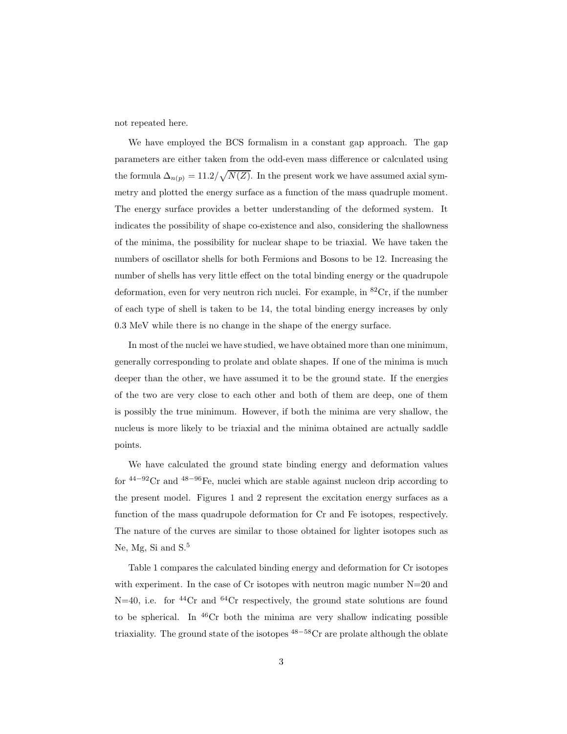not repeated here.

We have employed the BCS formalism in a constant gap approach. The gap parameters are either taken from the odd-even mass difference or calculated using the formula  $\Delta_{n(p)} = 11.2/\sqrt{N(Z)}$ . In the present work we have assumed axial symmetry and plotted the energy surface as a function of the mass quadruple moment. The energy surface provides a better understanding of the deformed system. It indicates the possibility of shape co-existence and also, considering the shallowness of the minima, the possibility for nuclear shape to be triaxial. We have taken the numbers of oscillator shells for both Fermions and Bosons to be 12. Increasing the number of shells has very little effect on the total binding energy or the quadrupole deformation, even for very neutron rich nuclei. For example, in <sup>82</sup>Cr, if the number of each type of shell is taken to be 14, the total binding energy increases by only 0.3 MeV while there is no change in the shape of the energy surface.

In most of the nuclei we have studied, we have obtained more than one minimum, generally corresponding to prolate and oblate shapes. If one of the minima is much deeper than the other, we have assumed it to be the ground state. If the energies of the two are very close to each other and both of them are deep, one of them is possibly the true minimum. However, if both the minima are very shallow, the nucleus is more likely to be triaxial and the minima obtained are actually saddle points.

We have calculated the ground state binding energy and deformation values for  $44-92$ Cr and  $48-96$ Fe, nuclei which are stable against nucleon drip according to the present model. Figures 1 and 2 represent the excitation energy surfaces as a function of the mass quadrupole deformation for Cr and Fe isotopes, respectively. The nature of the curves are similar to those obtained for lighter isotopes such as Ne, Mg, Si and  $S^5$ .

Table 1 compares the calculated binding energy and deformation for Cr isotopes with experiment. In the case of Cr isotopes with neutron magic number N=20 and  $N=40$ , i.e. for <sup>44</sup>Cr and <sup>64</sup>Cr respectively, the ground state solutions are found to be spherical. In  $46Cr$  both the minima are very shallow indicating possible triaxiality. The ground state of the isotopes  $^{48-58}$ Cr are prolate although the oblate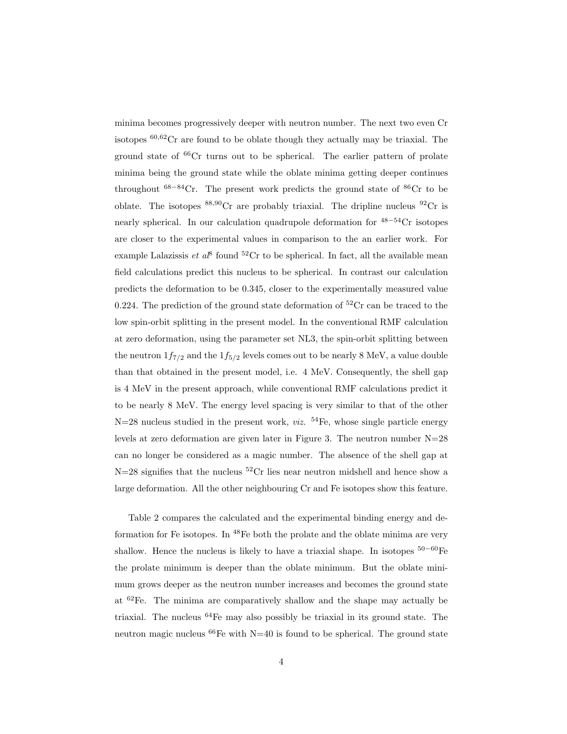minima becomes progressively deeper with neutron number. The next two even Cr isotopes  $60,62$ Cr are found to be oblate though they actually may be triaxial. The ground state of  ${}^{66}Cr$  turns out to be spherical. The earlier pattern of prolate minima being the ground state while the oblate minima getting deeper continues throughout  $68-84$ Cr. The present work predicts the ground state of  $86$ Cr to be oblate. The isotopes  $88,90$ Cr are probably triaxial. The dripline nucleus  $92$ Cr is nearly spherical. In our calculation quadrupole deformation for  $48-54$ Cr isotopes are closer to the experimental values in comparison to the an earlier work. For example Lalazissis *et al*<sup>8</sup> found <sup>52</sup>Cr to be spherical. In fact, all the available mean field calculations predict this nucleus to be spherical. In contrast our calculation predicts the deformation to be 0.345, closer to the experimentally measured value 0.224. The prediction of the ground state deformation of  ${}^{52}Cr$  can be traced to the low spin-orbit splitting in the present model. In the conventional RMF calculation at zero deformation, using the parameter set NL3, the spin-orbit splitting between the neutron  $1f_{7/2}$  and the  $1f_{5/2}$  levels comes out to be nearly 8 MeV, a value double than that obtained in the present model, i.e. 4 MeV. Consequently, the shell gap is 4 MeV in the present approach, while conventional RMF calculations predict it to be nearly 8 MeV. The energy level spacing is very similar to that of the other  $N=28$  nucleus studied in the present work, *viz.* <sup>54</sup>Fe, whose single particle energy levels at zero deformation are given later in Figure 3. The neutron number N=28 can no longer be considered as a magic number. The absence of the shell gap at  $N=28$  signifies that the nucleus <sup>52</sup>Cr lies near neutron midshell and hence show a large deformation. All the other neighbouring Cr and Fe isotopes show this feature.

Table 2 compares the calculated and the experimental binding energy and deformation for Fe isotopes. In  $48$ Fe both the prolate and the oblate minima are very shallow. Hence the nucleus is likely to have a triaxial shape. In isotopes  $50-60$  Fe the prolate minimum is deeper than the oblate minimum. But the oblate minimum grows deeper as the neutron number increases and becomes the ground state at <sup>62</sup>Fe. The minima are comparatively shallow and the shape may actually be triaxial. The nucleus  $64$ Fe may also possibly be triaxial in its ground state. The neutron magic nucleus <sup>66</sup>Fe with N=40 is found to be spherical. The ground state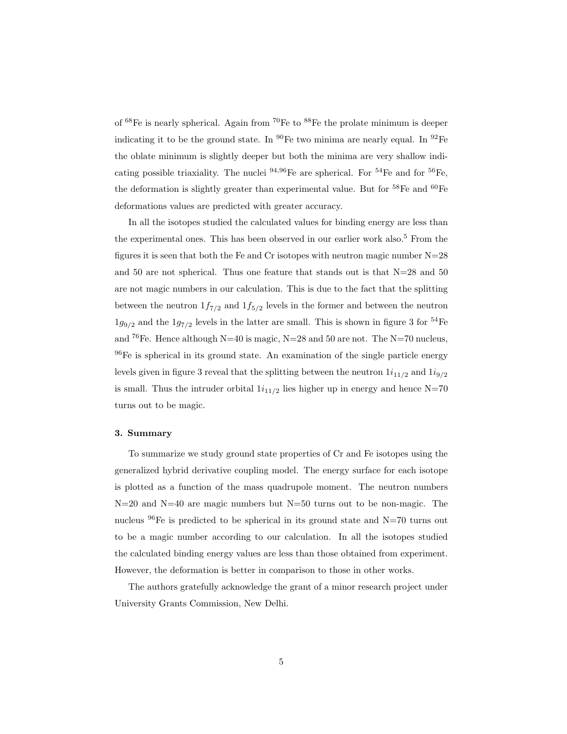of  $^{68}{\rm Fe}$  is nearly spherical. Again from  $^{70}{\rm Fe}$  to  $^{88}{\rm Fe}$  the prolate minimum is deeper indicating it to be the ground state. In  ${}^{90}Fe$  two minima are nearly equal. In  ${}^{92}Fe$ the oblate minimum is slightly deeper but both the minima are very shallow indicating possible triaxiality. The nuclei  $94,96$ Fe are spherical. For  $54$ Fe and for  $56$ Fe, the deformation is slightly greater than experimental value. But for <sup>58</sup>Fe and <sup>60</sup>Fe deformations values are predicted with greater accuracy.

In all the isotopes studied the calculated values for binding energy are less than the experimental ones. This has been observed in our earlier work also.<sup>5</sup> From the figures it is seen that both the Fe and Cr isotopes with neutron magic number N=28 and 50 are not spherical. Thus one feature that stands out is that  $N=28$  and 50 are not magic numbers in our calculation. This is due to the fact that the splitting between the neutron  $1f_{7/2}$  and  $1f_{5/2}$  levels in the former and between the neutron  $1g_{9/2}$  and the  $1g_{7/2}$  levels in the latter are small. This is shown in figure 3 for  $^{54}\mathrm{Fe}$ and <sup>76</sup>Fe. Hence although N=40 is magic, N=28 and 50 are not. The N=70 nucleus, <sup>96</sup>Fe is spherical in its ground state. An examination of the single particle energy levels given in figure 3 reveal that the splitting between the neutron  $1i_{11/2}$  and  $1i_{9/2}$ is small. Thus the intruder orbital  $1i_{11/2}$  lies higher up in energy and hence N=70 turns out to be magic.

### 3. Summary

To summarize we study ground state properties of Cr and Fe isotopes using the generalized hybrid derivative coupling model. The energy surface for each isotope is plotted as a function of the mass quadrupole moment. The neutron numbers N=20 and N=40 are magic numbers but N=50 turns out to be non-magic. The nucleus  $96$ Fe is predicted to be spherical in its ground state and N=70 turns out to be a magic number according to our calculation. In all the isotopes studied the calculated binding energy values are less than those obtained from experiment. However, the deformation is better in comparison to those in other works.

The authors gratefully acknowledge the grant of a minor research project under University Grants Commission, New Delhi.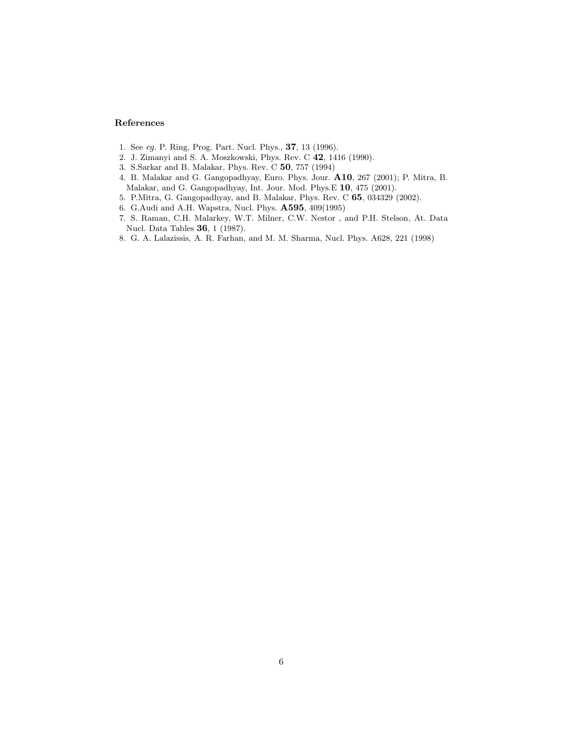## References

- 1. See eg. P. Ring, Prog. Part. Nucl. Phys., 37, 13 (1996).
- 2. J. Zimanyi and S. A. Moszkowski, Phys. Rev. C 42, 1416 (1990).
- 3. S.Sarkar and B. Malakar, Phys. Rev. C 50, 757 (1994)
- 4. B. Malakar and G. Gangopadhyay, Euro. Phys. Jour. A10, 267 (2001); P. Mitra, B. Malakar, and G. Gangopadhyay, Int. Jour. Mod. Phys.E 10, 475 (2001).
- 5. P.Mitra, G. Gangopadhyay, and B. Malakar, Phys. Rev. C 65, 034329 (2002).
- 6. G.Audi and A.H. Wapstra, Nucl. Phys. A595, 409(1995)
- 7. S. Raman, C.H. Malarkey, W.T. Milner, C.W. Nestor , and P.H. Stelson, At. Data Nucl. Data Tables 36, 1 (1987).
- 8. G. A. Lalazissis, A. R. Farhan, and M. M. Sharma, Nucl. Phys. A628, 221 (1998)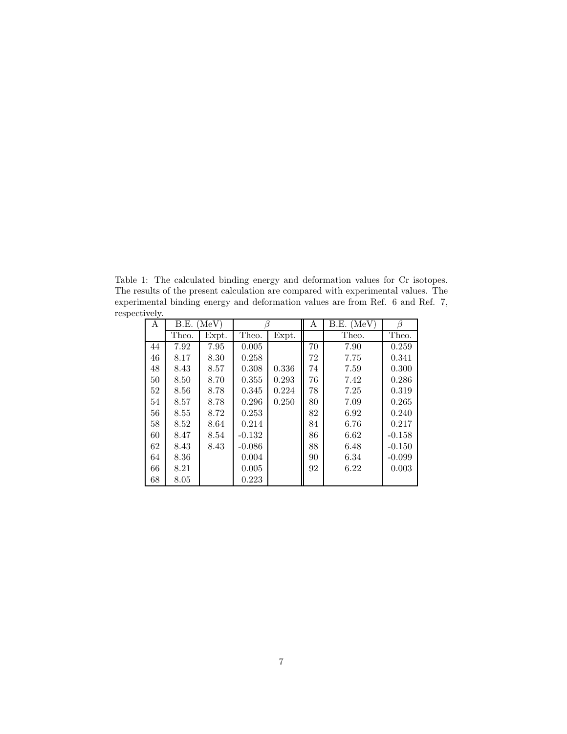Table 1: The calculated binding energy and deformation values for Cr isotopes. The results of the present calculation are compared with experimental values. The experimental binding energy and deformation values are from Ref. 6 and Ref. 7, respectively.

| А  | B.E.<br>(MeV) |       | ß        |       | Α  | $B.E.$ (MeV) | ß        |
|----|---------------|-------|----------|-------|----|--------------|----------|
|    | Theo.         | Expt. | Theo.    | Expt. |    | Theo.        | Theo.    |
| 44 | 7.92          | 7.95  | 0.005    |       | 70 | 7.90         | 0.259    |
| 46 | 8.17          | 8.30  | 0.258    |       | 72 | 7.75         | 0.341    |
| 48 | 8.43          | 8.57  | 0.308    | 0.336 | 74 | 7.59         | 0.300    |
| 50 | 8.50          | 8.70  | 0.355    | 0.293 | 76 | 7.42         | 0.286    |
| 52 | 8.56          | 8.78  | 0.345    | 0.224 | 78 | 7.25         | 0.319    |
| 54 | 8.57          | 8.78  | 0.296    | 0.250 | 80 | 7.09         | 0.265    |
| 56 | 8.55          | 8.72  | 0.253    |       | 82 | 6.92         | 0.240    |
| 58 | 8.52          | 8.64  | 0.214    |       | 84 | 6.76         | 0.217    |
| 60 | 8.47          | 8.54  | $-0.132$ |       | 86 | 6.62         | $-0.158$ |
| 62 | 8.43          | 8.43  | $-0.086$ |       | 88 | 6.48         | $-0.150$ |
| 64 | 8.36          |       | 0.004    |       | 90 | 6.34         | $-0.099$ |
| 66 | 8.21          |       | 0.005    |       | 92 | 6.22         | 0.003    |
| 68 | 8.05          |       | 0.223    |       |    |              |          |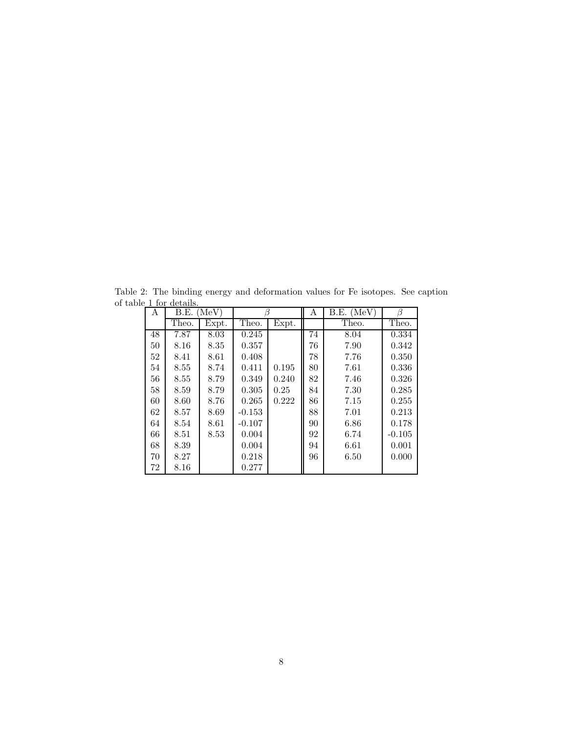| А  | (MeV)<br>B.E. |       |          |       | Α  | (MeV)<br>B.E. | ß        |
|----|---------------|-------|----------|-------|----|---------------|----------|
|    | Theo.         | Expt. | Theo.    | Expt. |    | Theo.         | Theo.    |
| 48 | 7.87          | 8.03  | 0.245    |       | 74 | 8.04          | 0.334    |
| 50 | 8.16          | 8.35  | 0.357    |       | 76 | 7.90          | 0.342    |
| 52 | 8.41          | 8.61  | 0.408    |       | 78 | 7.76          | 0.350    |
| 54 | 8.55          | 8.74  | 0.411    | 0.195 | 80 | 7.61          | 0.336    |
| 56 | 8.55          | 8.79  | 0.349    | 0.240 | 82 | 7.46          | 0.326    |
| 58 | 8.59          | 8.79  | 0.305    | 0.25  | 84 | 7.30          | 0.285    |
| 60 | 8.60          | 8.76  | 0.265    | 0.222 | 86 | 7.15          | 0.255    |
| 62 | 8.57          | 8.69  | $-0.153$ |       | 88 | 7.01          | 0.213    |
| 64 | 8.54          | 8.61  | $-0.107$ |       | 90 | 6.86          | 0.178    |
| 66 | 8.51          | 8.53  | 0.004    |       | 92 | 6.74          | $-0.105$ |
| 68 | 8.39          |       | 0.004    |       | 94 | 6.61          | 0.001    |
| 70 | 8.27          |       | 0.218    |       | 96 | 6.50          | 0.000    |
| 72 | 8.16          |       | 0.277    |       |    |               |          |

Table 2: The binding energy and deformation values for Fe isotopes. See caption of table 1 for details.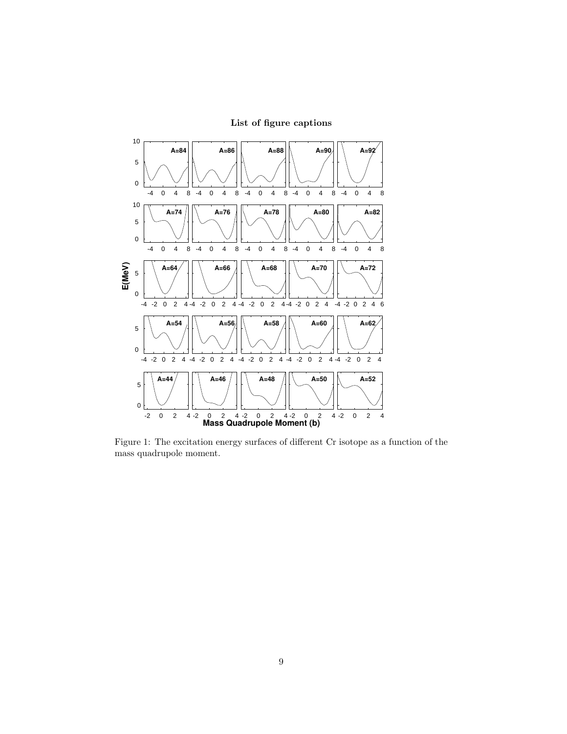

List of figure captions

Figure 1: The excitation energy surfaces of different Cr isotope as a function of the mass quadrupole moment.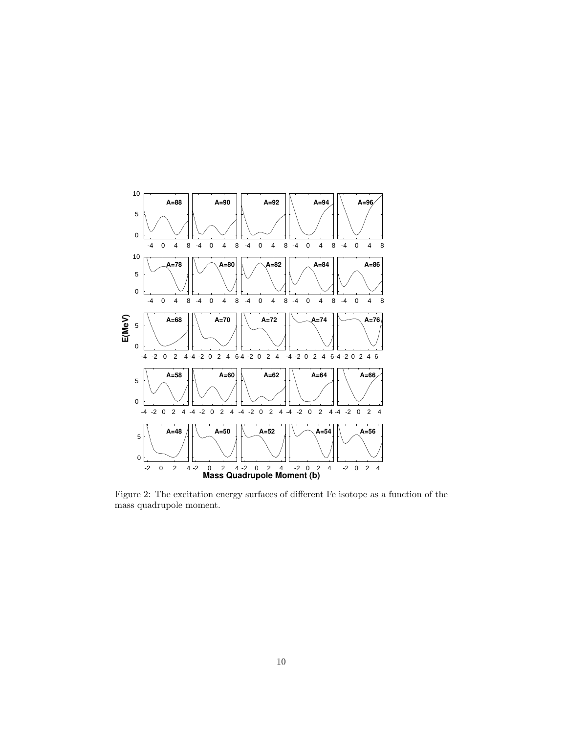

Figure 2: The excitation energy surfaces of different Fe isotope as a function of the mass quadrupole moment.